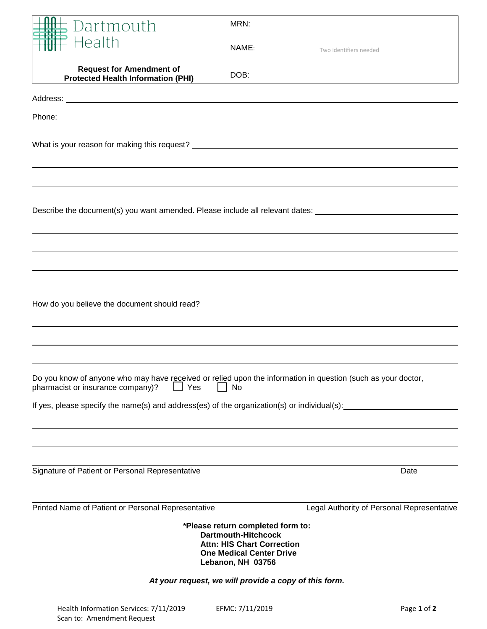| Dartmouth                                                                                                                                                                                                             | MRN:                                                                                                               |  |  |  |
|-----------------------------------------------------------------------------------------------------------------------------------------------------------------------------------------------------------------------|--------------------------------------------------------------------------------------------------------------------|--|--|--|
| Health                                                                                                                                                                                                                | NAME:<br>Two identifiers needed                                                                                    |  |  |  |
| <b>Request for Amendment of</b><br><b>Protected Health Information (PHI)</b>                                                                                                                                          | DOB:                                                                                                               |  |  |  |
|                                                                                                                                                                                                                       |                                                                                                                    |  |  |  |
|                                                                                                                                                                                                                       |                                                                                                                    |  |  |  |
|                                                                                                                                                                                                                       |                                                                                                                    |  |  |  |
|                                                                                                                                                                                                                       |                                                                                                                    |  |  |  |
|                                                                                                                                                                                                                       | Describe the document(s) you want amended. Please include all relevant dates: ______________________               |  |  |  |
|                                                                                                                                                                                                                       |                                                                                                                    |  |  |  |
|                                                                                                                                                                                                                       |                                                                                                                    |  |  |  |
|                                                                                                                                                                                                                       |                                                                                                                    |  |  |  |
|                                                                                                                                                                                                                       |                                                                                                                    |  |  |  |
|                                                                                                                                                                                                                       |                                                                                                                    |  |  |  |
|                                                                                                                                                                                                                       |                                                                                                                    |  |  |  |
| pharmacist or insurance company)?<br>$\Box$ Yes                                                                                                                                                                       | Do you know of anyone who may have received or relied upon the information in question (such as your doctor,<br>No |  |  |  |
| If yes, please specify the name(s) and address(es) of the organization(s) or individual(s):                                                                                                                           |                                                                                                                    |  |  |  |
|                                                                                                                                                                                                                       |                                                                                                                    |  |  |  |
|                                                                                                                                                                                                                       |                                                                                                                    |  |  |  |
| Signature of Patient or Personal Representative                                                                                                                                                                       | Date                                                                                                               |  |  |  |
| Printed Name of Patient or Personal Representative                                                                                                                                                                    | Legal Authority of Personal Representative                                                                         |  |  |  |
| *Please return completed form to:<br><b>Dartmouth-Hitchcock</b><br><b>Attn: HIS Chart Correction</b><br><b>One Medical Center Drive</b><br>Lebanon, NH 03756<br>At your request, we will provide a copy of this form. |                                                                                                                    |  |  |  |